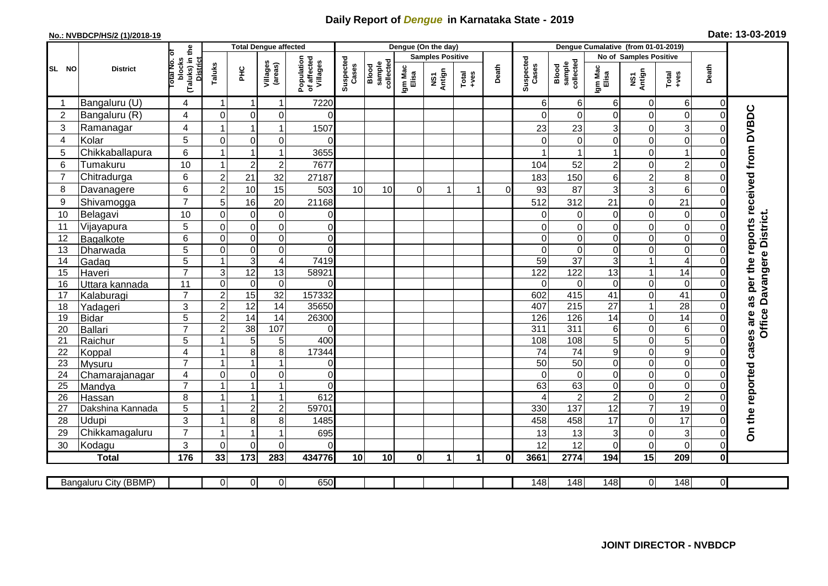## **Daily Report of** *Dengue* **in Karnataka State - 2019**

## **No.: NVBDCP/HS/2 (1)/2018-19 Date: 13-03-2019**

|                | <b>District</b>       |                                          | <b>Total Dengue affected</b>    |                                           |                         |                                       |                    |                              |                         | Dengue (On the day) |         |              |                    |                              |                                   |                                    |                                          |                     |                                        |
|----------------|-----------------------|------------------------------------------|---------------------------------|-------------------------------------------|-------------------------|---------------------------------------|--------------------|------------------------------|-------------------------|---------------------|---------|--------------|--------------------|------------------------------|-----------------------------------|------------------------------------|------------------------------------------|---------------------|----------------------------------------|
|                |                       |                                          |                                 |                                           |                         | Population<br>of affected<br>Villages |                    |                              | <b>Samples Positive</b> |                     |         |              |                    |                              |                                   | No of Samples Positive             |                                          |                     |                                        |
| SL NO          |                       | (Taluks) in the<br>otal No. of<br>blocks | <b>District</b><br>Taluks<br>ΞÉ |                                           | Villages<br>(areas)     |                                       | Suspected<br>Cases | sample<br>collected<br>Blood | Igm Mac<br>Elisa        | NS1<br>Antign       | $Total$ | Death        | Suspected<br>Cases | sample<br>collected<br>Blood | Igm Mac<br>Elisa                  | NS1<br>Antign                      | Total<br>+ves                            | Death               |                                        |
|                | Bangaluru (U)         | 4                                        | $\mathbf 1$                     | -1                                        | 1                       | 7220                                  |                    |                              |                         |                     |         |              | 6                  | 6                            | 6                                 | $\mathbf 0$                        | 6                                        | $\overline{0}$      |                                        |
| $\overline{2}$ | Bangaluru (R)         | 4                                        | $\mathbf 0$                     | $\mathbf 0$                               | $\mathbf 0$             | $\Omega$                              |                    |                              |                         |                     |         |              |                    | $\Omega$                     | 0                                 | $\mathbf 0$                        | $\mathbf 0$                              | $\Omega$            |                                        |
| 3              | Ramanagar             | 4                                        |                                 | 1                                         | 1                       | 1507                                  |                    |                              |                         |                     |         |              | 23                 | 23                           | 3                                 | $\mathbf 0$                        | $\ensuremath{\mathsf{3}}$                | 0                   | as per the reports received from DVBDC |
| $\overline{4}$ | Kolar                 | 5                                        | $\overline{0}$                  | $\Omega$                                  | $\mathbf 0$             | $\Omega$                              |                    |                              |                         |                     |         |              |                    | $\Omega$                     | 0                                 | $\mathbf 0$                        | $\mathbf 0$                              | $\Omega$            |                                        |
| 5              | Chikkaballapura       | 6                                        |                                 | $\overline{1}$                            | 1                       | 3655                                  |                    |                              |                         |                     |         |              |                    |                              | 1                                 | $\mathbf 0$                        | $\mathbf{1}$                             | 0                   |                                        |
| 6              | Tumakuru              | 10                                       |                                 | $\overline{2}$                            | $\overline{2}$          | 7677                                  |                    |                              |                         |                     |         |              | 104                | 52                           | $\overline{2}$                    | $\mathbf 0$                        | $\overline{c}$                           | $\Omega$            |                                        |
| $\overline{7}$ | Chitradurga           | 6                                        | $\overline{c}$                  | 21                                        | 32                      | 27187                                 |                    |                              |                         |                     |         |              | 183                | 150                          | 6                                 | $\overline{\mathbf{c}}$            | 8                                        | $\Omega$            |                                        |
| 8              | Davanagere            | 6                                        | $\overline{2}$                  | 10                                        | 15                      | 503                                   | 10                 | 10                           | $\Omega$                | 1                   |         | $\Omega$     | 93                 | 87                           | 3                                 | 3                                  | $6\phantom{a}$                           | 0                   |                                        |
| 9              | Shivamogga            | $\overline{7}$                           | 5                               | 16                                        | 20                      | 21168                                 |                    |                              |                         |                     |         |              | 512                | 312                          | 21                                | $\mathbf 0$                        | 21                                       |                     |                                        |
| 10             | Belagavi              | 10                                       | $\mathbf 0$                     | 0                                         | $\boldsymbol{0}$        | $\Omega$                              |                    |                              |                         |                     |         |              |                    | 0                            | 0                                 | $\mathbf 0$                        | $\mathbf 0$                              | $\Omega$            |                                        |
| 11             | Vijayapura            | $\overline{5}$                           | $\mathbf 0$                     | $\boldsymbol{0}$                          | $\mathbf 0$             | $\mathbf 0$                           |                    |                              |                         |                     |         |              |                    | $\mathbf 0$                  | 0                                 | $\mathbf 0$                        | $\mathbf 0$                              | 0                   | <b>Office Davangere District.</b>      |
| 12             | Bagalkote             | 6                                        | $\Omega$                        | $\mathbf 0$                               | $\boldsymbol{0}$        | $\mathbf 0$                           |                    |                              |                         |                     |         |              | $\Omega$           | $\mathbf 0$                  | 0                                 | $\mathbf 0$                        | $\overline{0}$                           | $\Omega$            |                                        |
| 13             | Dharwada              | $\overline{5}$                           | $\mathbf 0$                     | $\boldsymbol{0}$                          | $\overline{0}$          | $\mathbf 0$                           |                    |                              |                         |                     |         |              | $\Omega$           | $\pmb{0}$                    | 0                                 | $\mathbf 0$                        | $\overline{0}$                           | $\Omega$            |                                        |
| 14             | Gadag                 | $\overline{5}$                           |                                 | 3                                         | $\overline{\mathbf{4}}$ | 7419                                  |                    |                              |                         |                     |         |              | $\overline{59}$    | $\overline{37}$              | 3                                 | $\mathbf{1}$                       | $\overline{4}$                           | O                   |                                        |
| 15             | Haveri                | $\overline{7}$                           | $\mathsf 3$                     | 12                                        | 13                      | 58921                                 |                    |                              |                         |                     |         |              | 122                | 122                          | $\overline{13}$                   | $\mathbf{1}$                       | $\overline{14}$                          | 0                   |                                        |
| 16             | Uttara kannada        | 11                                       | $\mathbf 0$                     | 0                                         | $\pmb{0}$               | $\Omega$                              |                    |                              |                         |                     |         |              | 0                  | 0                            | 0                                 | $\pmb{0}$                          | $\mathbf 0$                              | 0                   |                                        |
| 17             | Kalaburagi            | $\overline{7}$                           | $\overline{2}$                  | 15                                        | 32                      | 157332                                |                    |                              |                         |                     |         |              | 602                | 415                          | $\overline{41}$                   | $\mathbf 0$                        | $\overline{41}$                          | 0                   |                                        |
| 18             | Yadageri              | 3                                        | $\overline{2}$                  | $\overline{12}$                           | 14                      | 35650                                 |                    |                              |                         |                     |         |              | 407                | 215                          | 27                                | $\mathbf{1}$                       | $\overline{28}$                          | 0                   |                                        |
| 19             | Bidar                 | 5                                        | $\overline{2}$                  | $\overline{14}$                           | 14                      | 26300                                 |                    |                              |                         |                     |         |              | 126                | 126                          | 14                                | $\mathbf 0$                        | $\overline{14}$                          | 0                   |                                        |
| 20             | Ballari               | $\overline{7}$                           | $\overline{c}$                  | $\overline{38}$                           | 107                     | 0                                     |                    |                              |                         |                     |         |              | 311                | 311                          | 6                                 | $\overline{0}$                     | $\overline{6}$                           | $\Omega$            |                                        |
| 21             | Raichur               | 5                                        |                                 | 5                                         | 5                       | 400                                   |                    |                              |                         |                     |         |              | 108                | 108                          | 5                                 | $\boldsymbol{0}$                   | $\overline{5}$                           | $\Omega$            |                                        |
| 22             | Koppal                | $\overline{4}$                           |                                 | 8                                         | 8                       | 17344                                 |                    |                              |                         |                     |         |              | $\overline{74}$    | $\overline{74}$              | 9                                 | $\mathbf 0$                        | $\overline{9}$                           | $\Omega$            |                                        |
| 23             | <b>Mysuru</b>         | $\overline{7}$                           |                                 |                                           |                         | 0                                     |                    |                              |                         |                     |         |              | $\overline{50}$    | $\overline{50}$              | 0                                 | $\mathbf 0$                        | $\mathbf 0$                              | 0                   |                                        |
| 24             | Chamarajanagar        | $\overline{4}$                           | $\Omega$                        | $\overline{0}$                            | 0                       | $\Omega$                              |                    |                              |                         |                     |         |              | $\Omega$           | $\mathbf 0$                  | 0                                 | $\mathbf 0$                        | $\boldsymbol{0}$                         | $\Omega$            |                                        |
| 25             | Mandya                | $\overline{7}$                           |                                 | $\overline{\mathbf{1}}$<br>$\overline{ }$ | $\overline{1}$<br>1     | $\Omega$                              |                    |                              |                         |                     |         |              | 63                 | 63                           | 0                                 | $\mathbf 0$                        | $\overline{0}$                           | $\overline{0}$      |                                        |
| 26             | Hassan                | 8                                        |                                 |                                           |                         | 612                                   |                    |                              |                         |                     |         |              |                    | $\overline{2}$               | $\overline{2}$<br>$\overline{12}$ | $\boldsymbol{0}$<br>$\overline{7}$ | $\overline{2}$<br>19                     | 0<br>$\Omega$       |                                        |
| 27             | Dakshina Kannada      | $\overline{5}$                           |                                 | $\overline{c}$                            | $\overline{\mathbf{c}}$ | 59701                                 |                    |                              |                         |                     |         |              | 330                | 137                          |                                   |                                    |                                          |                     |                                        |
| 28             | <b>Udupi</b>          | 3<br>$\overline{7}$                      |                                 | 8<br>-1                                   | 8                       | 1485                                  |                    |                              |                         |                     |         |              | 458                | 458                          | 17                                | $\mathbf 0$                        | 17                                       |                     | On the reported cases are              |
| 29             | Chikkamagaluru        | 3                                        |                                 |                                           | $\Omega$                | 695                                   |                    |                              |                         |                     |         |              | 13                 | 13                           | 3                                 | $\pmb{0}$                          | $\ensuremath{\mathsf{3}}$<br>$\mathbf 0$ | 0                   |                                        |
| 30             | Kodagu                | $\frac{1}{176}$                          | $\Omega$                        | $\Omega$<br>173                           | 283                     | 0                                     |                    |                              | $\mathbf{0}$            | $\mathbf{1}$        | 1       | $\mathbf{0}$ | 12                 | 12                           | 0                                 | $\mathbf 0$<br>15                  | 209                                      | 0<br>$\mathbf{0}$   |                                        |
|                | <b>Total</b>          |                                          | 33                              |                                           |                         | 434776                                | 10                 | 10                           |                         |                     |         |              | 3661               | 2774                         | 194                               |                                    |                                          |                     |                                        |
|                | Bangaluru City (BBMP) |                                          | $\overline{0}$                  | $\overline{0}$                            | $\overline{0}$          | 650                                   |                    |                              |                         |                     |         |              | $\overline{148}$   | 148                          | 148                               | $\overline{0}$                     | 148                                      | $\overline{\Omega}$ |                                        |